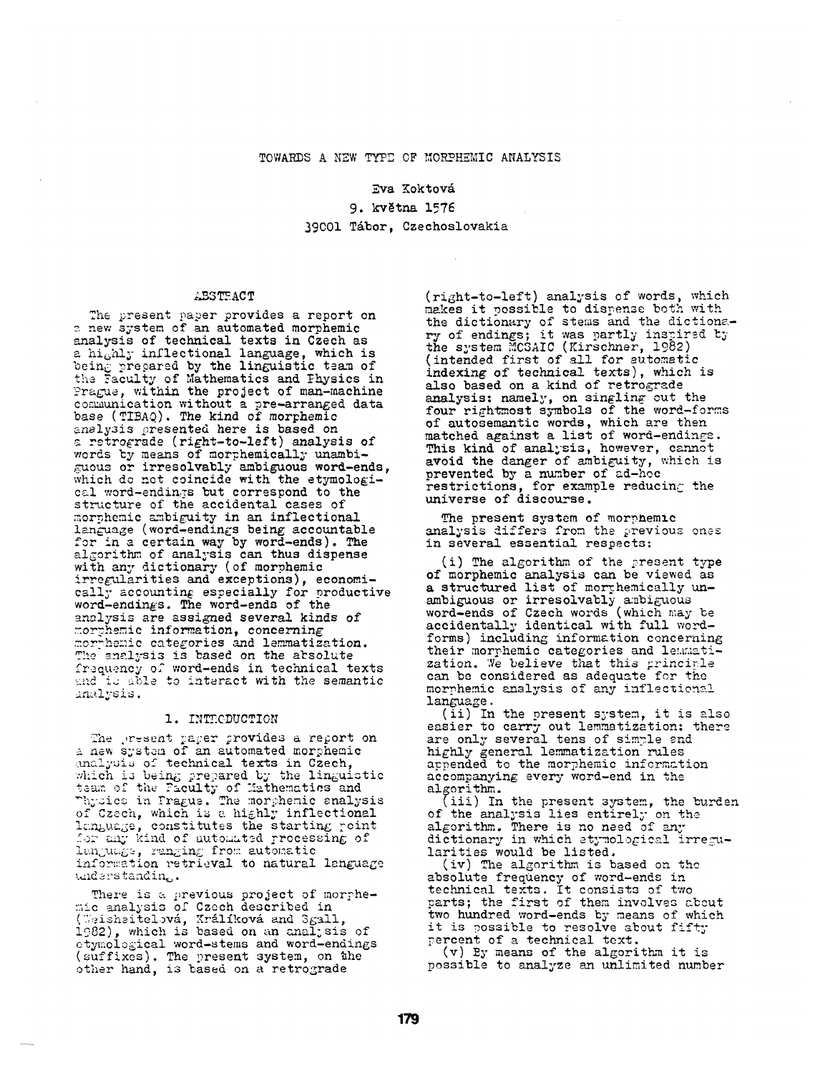## TOWARDS A NEW TYPE OF MORPHEMIC ANALYSIS

#### Eva Koktová

9. května 1576 39001 Tábor, Czechoslovakia

# ABSTEACT

The present paper provides a report on a new system of an automated morphemic analysis of technical texts in Czech as a highly inflectional language, which is being prepared by the linguistic team of the Faculty of Mathematics and Physics in Prague, within the project of man-machine communication without a pre-arranged data base (TIBAQ). The kind of morphemic analysis presented here is based on a retrograde (right-to-left) analysis of words by means of morphemically unambiguous or irresolvably ambiguous word-ends, which do not coincide with the etymological word-endings but correspond to the structure of the accidental cases of morphemic ambiguity in an inflectional language (word-endings being accountable for in a certain way by word-ends). The algorithm of analysis can thus dispense with any dictionary (of morphemic irregularities and exceptions), economi-<br>cally accounting especially for productive word-endings. The word-ends of the analysis are assigned several kinds of morthemic information, concerning morphemic categories and lemmatization. The analysis is based on the absolute frequency of word-ends in technical texts and is able to interact with the semantic analysis.

### 1. INTRODUCTION

The present paper provides a report on a new system of an automated morphemic analysis of technical texts in Czech, which is being prepared by the linguistic team of the Paculty of Mathematics and<br>Thysics in Frague. The morphemic snalysis<br>of Czech, which is a highly inflectional language, constitutes the starting point for any kind of automated processing of language, ranging from automatic information retrieval to natural language understanding.

There is a previous project of morphe-<br>mic analysis of Czech described in (Weisheitelová, Králíková and Sgall, 1982), which is based on an analysis of etymological word-stems and word-endings (suffixes). The present system, on the other hand, is based on a retrograde

(right-to-left) analysis of words, which makes it possible to dispense both with<br>the dictionary of stems and the dictiona-<br>ry of endings; it was partly inspired by the system MCSAIC (Kirschner, 1982) (intended first of all for automatic indexing of technical texts), which is also based on a kind of retrograde analysis: namely, on singling out the four rightmost symbols of the word-forms of autosemantic words, which are then<br>matched against a list of word-endings. This kind of analysis, however, cannot avoid the danger of ambiguity, which is prevented by a number of ad-hoc restrictions, for example reducing the universe of discourse.

The present system of morphemic analysis differs from the previous ones in several essential respects:

(i) The algorithm of the present type of morphemic analysis can be viewed as a structured list of morthemically unambiguous or irresolvably ambiguous word-ends of Czech words (which may be accidentally identical with full wordforms) including information concerning their morphemic categories and lemmatization. We believe that this principle can be considered as adequate for the morphemic analysis of any inflectional language.

(ii) In the present system, it is also easier to carry out lemmatization; there are only several tens of simple and highly general lemmatization rules appended to the morphemic information accompanying every word-end in the algorithm.

(iii) In the present system, the burden of the analysis lies entirely on the algorithm. There is no need of any dictionary in which atymological irregularities would be listed.

(iv) The algorithm is based on the absolute frequency of word-ends in technical texts. It consists of two parts; the first of them involves about two hundred word-ends by means of which it is possible to resolve about fifty percent of a technical text.

(v) By means of the algorithm it is possible to analyze an unlimited number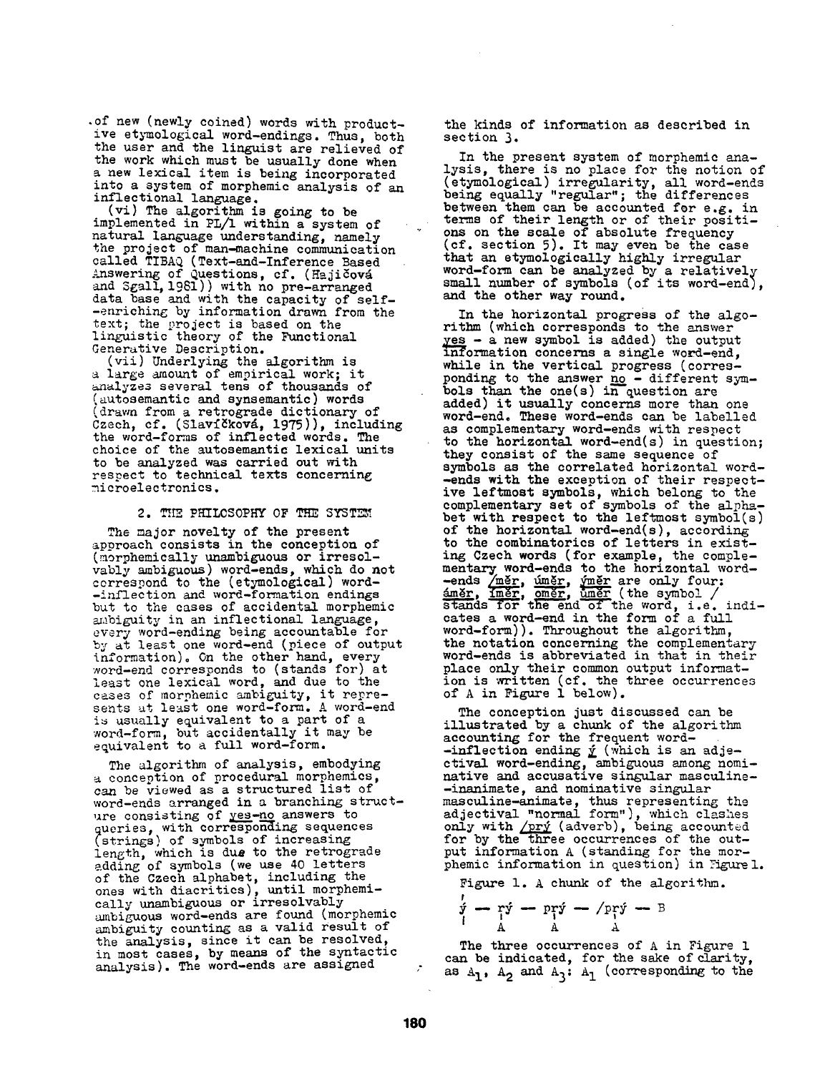.of new (newly coined) words with productive etymological word-endings. Thus, both the user and the linguist are relieved of the work which must be usually done when a new lexical item is being incorporated into a system of morphemic analysis of an inflectional language.

(vi) The algorithm is going to be implemented in *PL/1* within a system of natural language understanding, namely the project of man-machine communication called TIBAQ (Text-and-Inference Based Answering of Questions, cf. (Hajičová and Sgall, 1981)) with no pre-arranged data base and with the capacity of self--enriching by information drawn from the text; the project is based on the linguistic theory of the Functional Generative Description.

(vii) Underlying the algorithm is a large amount of empirical work; it analyzes several tens of thousands of (autosemantic and synsemantic) words (drawn from a retrograde dictionary of Czech, cf. (Slavíčková, 1975)), including the word-forms of inflected words. The choice of the autosemantic lexical units to be analyzed was carried out with respect to technical texts concerning microelectronics.

# 2. THE PHILCSOPHY OF THE SYSTEM

The major novelty of the present approach consists in the conception of (morphemically unambiguous or irresolvably ambiguous) word-ends, which do not correspond to the (etymological) word- -inflection and word-formation endings but to the cases of accidental morphemic ambiguity in an inflectional language, every word-ending being accountable for by at least one word-end (piece of output information). On the other hand, every word-end corresponds to (stands for) at least one lexical word, and due to the cases of morphemic ambiguity, it represents at least one word-form. A word-end is usually equivalent to a part of a word-form, but accidentally it may be equivalent to a full word-form.

The algorithm of analysis, embodying conception of procedural morphemics, can be viewed as a structured list of word-ends arranged in a branching structure consisting of <u>yes-no</u> answers to queries, with corresponding sequences (strings) of symbols of increasing length, which is due to the retrograde adding of symbols (we use 40 letters of the Czech alphabet, including the ones with diacritics), until morphemically unambiguous or irresolvably ambiguous word-ends are found (morphemic ambiguity counting as a valid result of the analysis, since it can be resolved, in most cases, by means of the syntactic analysis). The word-ends are assigned

the kinds of information as described in section 3.

In the present system of morphemic analysis, there is no place for the notion of (etymological) irregularity, all word-ends being equally "regular"; the differences between them can be accounted for e.g. in terms of their length or of their positions on the scale of absolute frequency (cf. section 5). It may even be the case that an etymologically highly irregular word-form can be analyzed by a relatively small number of symbols (of its word-end), and the other way round.

In the horizontal progress of the algorithm (which corresponds to the answer  $yes - a new symbol is added) the output$ </u> information concerns a single word-end, while in the vertical progress (corresponding to the answer <u>no</u> - different symbols than the one(s) in question are added) it usually concerns more than one word-end. These word-ends can be labelled as complementary word-ends with respect to the horizontal word-end(s) in question; they consist of the same sequence of symbols as the correlated horizontal word- -ends with the exception of their respective leftmost symbols, which belong to the complementary set of symbols of the alphabet with respect to the leftmost symbol(s) of the horizontal word-end(s), according to the combinatorics of letters in existing Czech words (for example, the complementary word-ends to the horizontal word- -ends <u>/měr, úměr, ýměr</u> are only four: <u>áměr, íměr, oměr, ůměr</u> (the symbol / stands for the end of the word, i.e. indicates a word-end in the form of a full word-form)). Throughout the algorithm, the notation concerning the complementary word-ends is abbreviated in that in their place only their common output information is written (cf. the three occurrences of A in Pigure 1 below).

The conception just discussed can be illustrated by a chunk of the algorithm accounting for the frequent word- -inflection ending  ${\bf \underline{\check{y}}}$  (which is an adjectival word-ending, ambiguous among nominative and accusative singular masculine- -inanimate, and nominative singular masculine-animate, thus representing the adjectival "normal form,'), which clashes only with <u>/prý</u> (adverb), being accounted for by the three occurrences of the output information A (standing for the morphemic information in question) in Figure 1.

Figure 1. A chunk of the algorithm.

$$
\dot{\mathbf{y}} - \mathbf{y} = \mathbf{p} \mathbf{y} - \mathbf{p} \mathbf{y} - \mathbf{p} \mathbf{y} - \mathbf{B}
$$

The three occurrences of A in Figure I can be indicated, for the sake of clarity, as  $A_1$ ,  $A_2$  and  $A_3$ :  $A_1$  (corresponding to the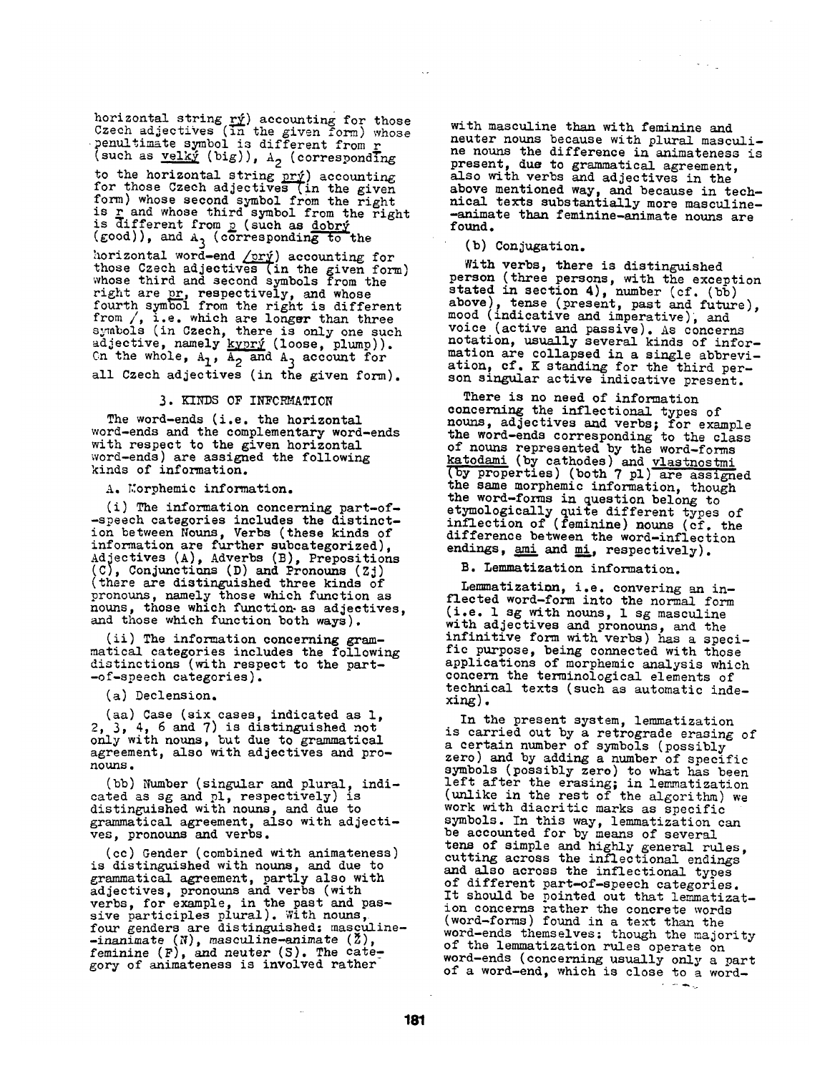horizontal string  $r_{y}$  accounting for those Czech adjectives (in the given form) whose penultimate symbol is different from r (such as  $velky$  (big)),  $A_2$  (correspondIng</u>

to the horizontal string  $\overline{pry}$ ) accounting for those Czech adjectives (in the given form) whose second symbol from the right is <u>r</u> and whose third symbol from the right is different from p (such as dobry (good)), and  $A_3$  (corresponding to the

horizontal word-end <u>/prý</u>) accounting for those Czech adjectives (in the given form) whose third and second symbols from the right are  $\bm{\text{pr}}$ , respectively, and whose fourth symbol from the right is different from */,* i.e. which are longer than three symbols (in Czech, there is only one such adjective, namely <u>kyprý</u> (loose, plump)). Cn the whole,  $A_7$ ,  $A_9$  and  $A_3$  account for all Czech adjectives (in the given form).

### 3. KINDS OF INFORMATION

The word-ends (i.e. the horizontal word-ends and the complementary word-ends with respect to the given horizontal word-ends) are assigned the following kinds of information.

A. Morphemic information.

(i) The information concerning part-of- -speech categories includes the distinction between Nouns, Verbs (these kinds of information are further subcategorized), Adjectives (A), Adverbs (B), Prepositions (C), Conjunctiuns (D) and Pronouns (Zj) (there are distinguished three kinds of pronouns, namely those which function as nouns, those which function as adjectives, and those which function both ways).

(ii) The information concerning grammatical categories includes the following distinctions (with respect to the part- -of-speech categories).

(a) Declension.

(aa) Case (six cases, indicated as l, 2, 3, 4, 6 and 7) is distinguished not only with nouns, but due to grammatical agreement, also with adjectives and pronouns.

(bb) Number (singular and plural, indicated as sg and pl, respectively) is distinguished with nouns, and due to grammatical agreement, also with adjectives, pronouns and verbs.

(cc) Gender (combined with animateness) is distinguished with nouns, and due to grammatical agreement, partly also with adjectives, pronouns and verbs (with verbs, for example, in the past and passive participles plural). With nouns, four genders are distinguished: masculine-  $-in an\bar{i}$ mate  $(N)$ , masculine-animate  $(2)$ , feminine  $(F)$ , and neuter  $(S)$ . The category of animateness is involved rather

with masculine then with feminine and neuter nouns because with plural masculine nouns the difference in animateness is present, due to grammatical agreement, also with verbs and adjectives in the above mentioned way, and because in technical texts substantially more masculine- -animate than feminine-animate nouns are found.

(b) Conjugation.

With verbs, there is distinguished person (three persons, with the exception stated in section 4), number (cf. (bb) above), tense (present, past and future), mood (indicative and imperative), and voice (active and passive). As concerns notation, usually several kinds of information are collapsed in a single abbreviation, cf. K standing for the third person singular active indicative present.

There is no need of information concerning the inflectional types of nouns, adjectives and verbs; for example the word-ends corresponding to the class of nouns represented by the word-forms katodami (by cathodes) and vlastnostmi (by properties) (both 7 pl) are assigned the same morphemic information, though the word-forms in question belong to etymologically quite different types of inflection of (feminine) nouns (of. the difference between the word-inflection endings,  $ami$  and  $mi$ , respectively).

B. Lemmatization information.

Lemmatizatimn, i.e. convering an inflected word-form into the normal form (i.e. 1 sg with nouns, 1 sg masculine with adjectives and pronouns, and the infinitive form with verbs) has a specific purpose, being connected with those applications of morphemic analysis which concern the terminological elements of technical texts (such as automatic indexing).

In the present system, lemmatization is carried out by a retrograde erasing of a certain number of symbols (possibly zero) and by adding a number of specific symbols (possibly zero) to what has been left after the erasing; in lemmatization (unlike in the rest of the algorithm) we work with diacritic marks as specific symbols. In this way, lemmatization can be accounted for by means of several tens of simple and highly general rules, cutting across the inflectional endings and also across the inflectional types of different part-of-speech categories. It should be pointed out that lemmatization concerns rather the concrete words (word-forms) found in a text than the word-ends themselves: though the majority of the lemmatization rules operate on word-ends (concerning usually only a part of a word-end, which is close to a word-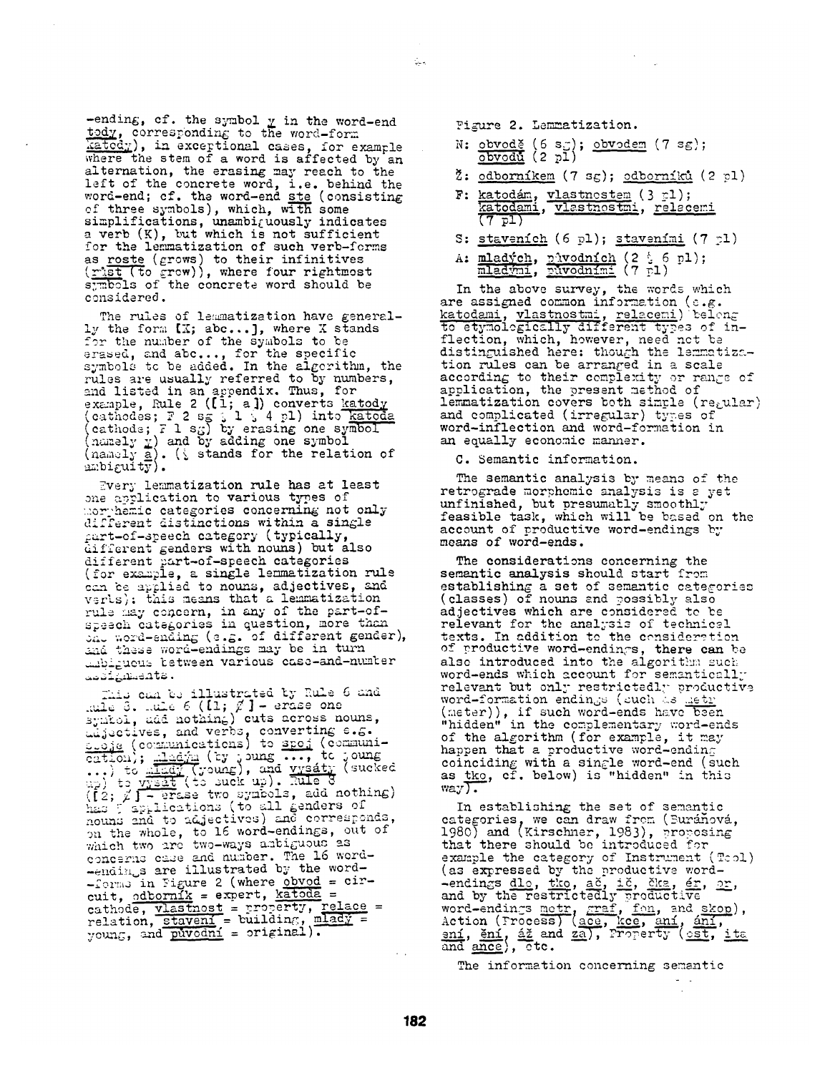-ending, cf. the symbol  $y$  in the word-end tody, corresponding to the word-form katody), in exceptional cases, for example where the stem of a word is affected by an alternation, the erasing may reach to the left of the concrete word, i.e. behind the word-end; cf. the word-end ste (consisting of three symbols), which, with some  ${\tt simplifications,~unambi}_\ell$ uously indicates a verb (K), but which is not sufficient for the lemmatization of such verb-forms as roste (grows) to their infinitives  $(\underline{r}$ ist (to  $\underline{\varepsilon}$ rew)), where four rightmest symbols of the concrete word should be considered.

The rules of lemmatization have generally the form  $[X; abc...]$ , where X stands for the number of the symbols to be erased, and abe..., for the specific symbols tc be added. In the algerithn, the rules are usually referred to by numbers, and listed in an appendix. Thus, for example, Rule 2 ([1; a]) converts (cathodes;  $F$  2 sg  $\frac{1}{2}$  4 pl) into <u>kate</u> (cathode;  $F$  1 sg) by erasing one symbol (namely  $\underline{v}$ ) and by adding one symbol (namely <u>a</u>). (i stands for the relation of  $=$   $\text{mbi}$   $\text{cufy}$ .

Every lemmatization rule has at least one application to various types of morphemic categories concerning not only different distinctions within a single  $\rho$ art-of-speech category (typically, different genders with nouns) but also different ~art-of-speech categories (for example, a single lemmatization rule can be applied to nouns, adjectives, and verls): this means that a lemmatization rule may concern, in any of the part-ofspeech categories in question, more than  $_{\rm on}$  word-ending (e.g. of different gender), and these word-endings may be in turn \_zbi~uou- %etw~.en various case-and-ntun%er . ئالەشقىي ئاتامىي

This can be illustrated by Rule 6 and  $~\ldots$ ule 3.  $~\ldots$ ule 6 ([1;  $\not\!\!E$ ] – erase one symtol, add nothing) cuts across nouns, uu jectives, and verbs, converting  $e_{\bullet}$ . c.o.je ( communications) to <u>spo.</u>] ( communi- $\overline{\text{cation}}$ ;  $\frac{\text{diam}}{\text{cation}}$  (by joung ..., to joung ...)<br>...) to  $\frac{\text{diam}}{\text{cation}}$  (young), and yysáty (sucked  $\left(\mathfrak{f}\right)_1$   $\mathfrak{g}\left(\mathfrak{f}\right)$  - erase two symbols, add nothing)  $\widetilde{\text{h}}$ a:  $\widetilde{\text{g}}$  applications (to all genders of *notu~s* znd to ~j~ctivcs) and corre~.onds, on the whole, to 16 word-endings, out of which two are two-ways ambiguous as concerns caue and number. The 16 word--endings are illustrated by the word- $-$  forms in Figure 2 (where  $\overline{obvod}$  = circuit, odb<u>orník</u> = expert, <u>katoda</u> = cathode, vlastnost = property, relace =  $relation,$  staveni = building,  $m$ lad $\gamma$  = young, and puvodni = original).

Pigure 2. Lemmatization.

Ç.

- N: <u>obvodě</u> (6 s*g*); <u>obvodem</u> (7 sg); (2 pl)
- $\zeta$ : odborníkem (7 sg); odborníků (2 pl)
- F: katodám, vlastnostem (3 rl); katodami, vlastnostmi, relacemi **(7** pl)
- S: staveních (6 pl); staveními (7 pl)
- A: <u>mladých, nůvodních</u> (2 % 6 pl); <u>mladými, původními</u> (7 pl).

In the above survey, the words which are assigned common information (e.g. <u>katodami, vlastnostmi, relaceni</u>) beleng to etymolegically different types of inflection, which, however, need net be distinguished here: though the lemmatization rules can be arranged in a scale according to their complexity or range of application, the present method of lemmatization covers both simple (regular) and complicated (irregular) types of word-inflection and word-formation in an equally economic manner.

C. Semantic information.

The semantic analysis by means of the retrograde morphemic analysis is s yet unfinished, but presumably smoothly feasible task, which will be based on the account of productive word-endings by means of word-ends.

The considerations concerning the semantic analysis should start from establishing a set of semantic categories (classes) of nouns and 9ossibly also adjectives which are considered to be relevant for the analysis of technicel texts. In addition to the consideration of productive word-endings, there can be also introduced into the algorithm such word-ends which account for semanticzlly relevant but only restrictedl~- productive word-formation endings (such as <u>detr</u> (meter)), if such word-ends have been "hidden" in the complementary word-ends of the algorithm (for example, it may happen that a productive word-ending coinciding with a single word-end (such as tko, cf. below) is "hidden" in this way $\sqrt{$ .

In establishing the set of semantic categories, we can draw from (Buránová, 1980) and (Kirschner, 1983), proposing that there should be introduced for example the category of Instrument (Tool) (as expressed by the productive word- -endings <u>dlo, tko, ač, ič, čka, ér, or</u>, and by the restrictedly productive word-endings metr, graf, fon, and skop), <u>ení, ění, áž</u> and <u>za</u>), Property (<u>cst, ita</u> and  $\texttt{ance}$ ),  $\texttt{ctc.}$ 

The information concerning semantic

 $\ddot{\phantom{a}}$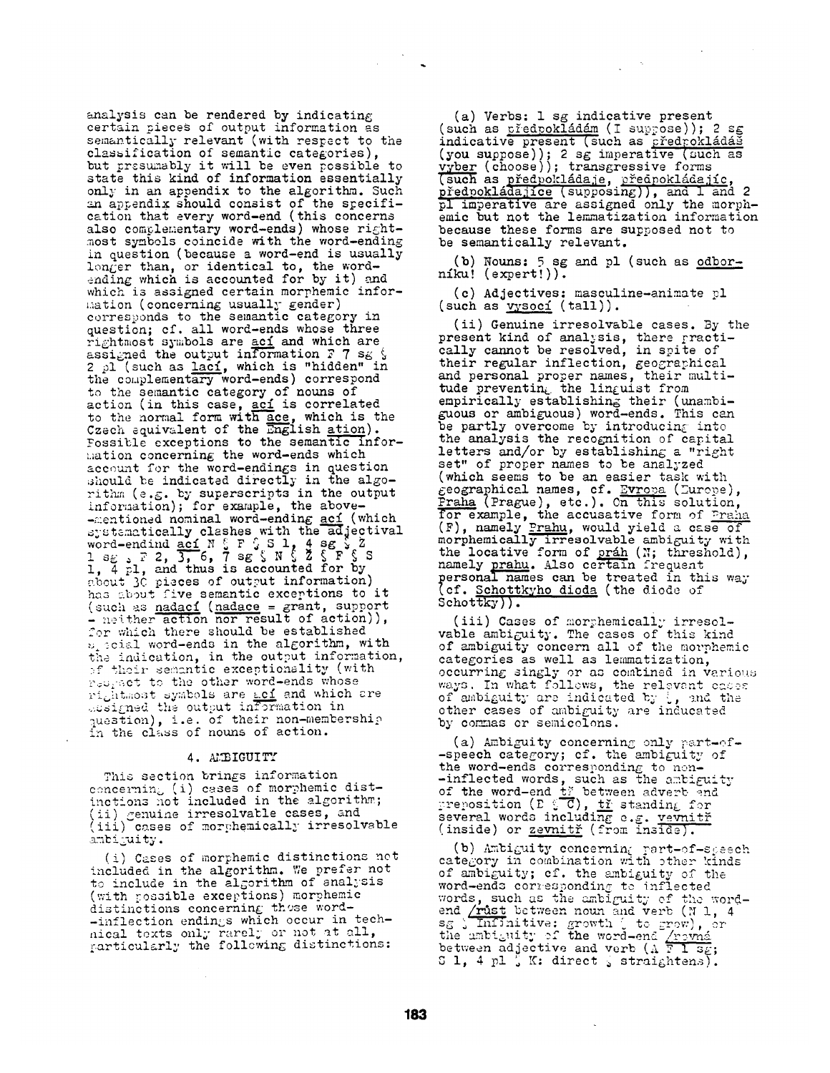analysis can be rendered by indicating certain pieces of output information as semantically relevant (with respect to the classification of semantic categories), but presumably it will be even possible to state this kind of information essentially only in an appendix to the algorithm. Such an appendix should consist of the specification that every word-end (this concerns also complementary word-ends) whose rightmost symbols coincide with the word-ending in question (because a word-end is usually longer than, or identical to, the word-  $_{\rm{ending}}$  which is accounted for by it) and which is assigned certain morphemic information (concerning usually gender) corresponds to the semantic category in question; of. all word-ends whose three rightmost symbols are <u>ací</u> and which are assigned the output information  $F$  7 sg  $\sqrt{ }$ 2 pl (such as <u>laci</u>, which is "hidden" in the complementary word-ends) correspond to the semantic category of nouns of action (in this case, <u>ací</u> is correlated to the normal form with ace, which is the Czech equivalent of the English <u>ation</u>). Fossible exceptions to the semantic infor-  $\overline{\phantom{a}}$  $\text{mation concerning the word-ends which}$ account for the word-endings in question should be indicated directly in the algorithm (e.g. by superscripts in the output infer:nation); for example, the above- -mentioned nominal word-ending <u>aci</u> (which  $s$  is tematically clashes with the adjectival word-endind  $\underline{\texttt{acl}}$  N  $\frac{r}{s}$  F  $\frac{r}{s}$  S 1,  $\frac{4}{s}$  sg  $\frac{r}{s}$  Z  $1$  sg  $\Box$   $7$  2, 3, 6, 7 sg  $\Box$  N  $\Box$  Z  $\Box$  F  $\Box$  S  $\Box$ l, 4 pl, and thus is accounted for by s bout 3C pieces of output information) has about five semantic exceptions to it (such as nadací (nadace = grant, support  $\frac{1}{\sqrt{2}}$  neither action nor result of action)), for which there should be established  $v_{\perp}$  scial word-ends in the algorithm, with the indication, in the output information, of their sementic exceptionality (with respect to the other word-ends whose  $\mathbf{r}$ i $_{c}$ htmost symbols are <u>ací</u> and which cre  $...$ esigned the output information in  $\blacksquare$ question), i.e. of their non-membership in the class of nouns of action.

#### 4. AMBIGUITY

This section brings information concerning (i) cases of morphemic distinctions not included in the algorithm; (ii) genuine irresolvable cases, and (iii) cases of morphemically irresolvable ambiguity.

(i) Cases of morphemic distinctions not included in the algorithm. We prefer not to include in the algorithm of analysis (with possible exceptions) morphemic distinctions concerning these word- -inflection endings which occur in technical texts only rarelj or not at all,  $gamma_{\rm gr}$  the following distinctions:

Ca) Verbs: 1 sg indicative present (such as <u>předpokládám</u> (I suppose)); 2 sg indicative present (such as predrokládá (you suppose)); 2 sg imperative (such as (choose)); transgressive forms (such as <u>předpokládaje</u>, <u>předpokládajíc</u>, <u>předpokládajíce</u> (supposing)), and 1 and 2 pl imperative are assigned only the morphemic but not the lemmatization information because these forms are supposed not to be semantically relevant.

(b) Nouns:  $5$  sg and pl (such as odbor $n$ iku!  $($ expert! $)).$ 

(c) Adjectives: masculine-animate pl (such as vysocí (tall)).

(ii) Genuine irresolvable cases. By the present kind of analysis, there fractically cannot be resolved, in spite of their regular inflection, geographical and personal proper names, their multitude preventin<sub>t</sub> the linguist from empirically establishing their (unambiguous or ambiguous) word-ends. This can be partly overcome by introducing into the analysis the recognition of capital letters and/or by establishing a "right set" of proper names to be analyzed (which seems to be an easier task with  $\varepsilon$ eographical names, cf. <u>Evropa</u> (Zurope),  $\frac{Finala}{P}$  (Prague), etc.). On this solution, for example, the accusative form of Praha (F), namely <u>Prahu</u>, would yield a case of morphemically irresolvable ambiguity with the locative form of  $prán$  (N; threshold), namely prahu. Also certain frequent personal names can be treated in this way (cf. Schottkyho dioda (the diode of Schottky)).

(iii) Cases of morphemically irresolvable ambi $\varepsilon$ uity. The cases of this kind of ambiguity concern all of the morphemic categories as well as lemmatization, occurring singly or as combined in various ways. In what follows, the relevant caces  $\,$ of ambiguity are indicated by  $\frac{1}{2}$ , and the other cases of ambiguity are inducated by commas or semicolons.

(a) Ambiguity concerning only part-of--speech category; cf. the ambiguity of the word-ends corresponding to non- -inflected words, such as the ambiguity of the word-end <u>tř</u> between adverb end preposition (E  $_{\circ}^{\circ}$  C), <u>tř</u> standing for several words including e.g. <u>vevnitř</u> (inside) or zevnitř (from inside).

(b) Ambiguity concerning part-of-speech category in combination with other kinds of ambiguity; cf. the ambiguity of the word-ends corresponding to inflected words, such as the ambiguity of the wordend <u>/rust</u> between noun and verb (N 1, 4  $\mathtt{s}_{\mathcal{S}}$   $\backslash$  Infinitive: growth  $\backslash$  to grow), or the ambiguity of the word-end <u>/rov</u>ná between adjective and verb (A  $\overline{\text{F I}}$   $\overline{\text{s}_\text{f}}$  $S$  1, 4 pl  $\zeta$  K: direct  $\zeta$  straightens).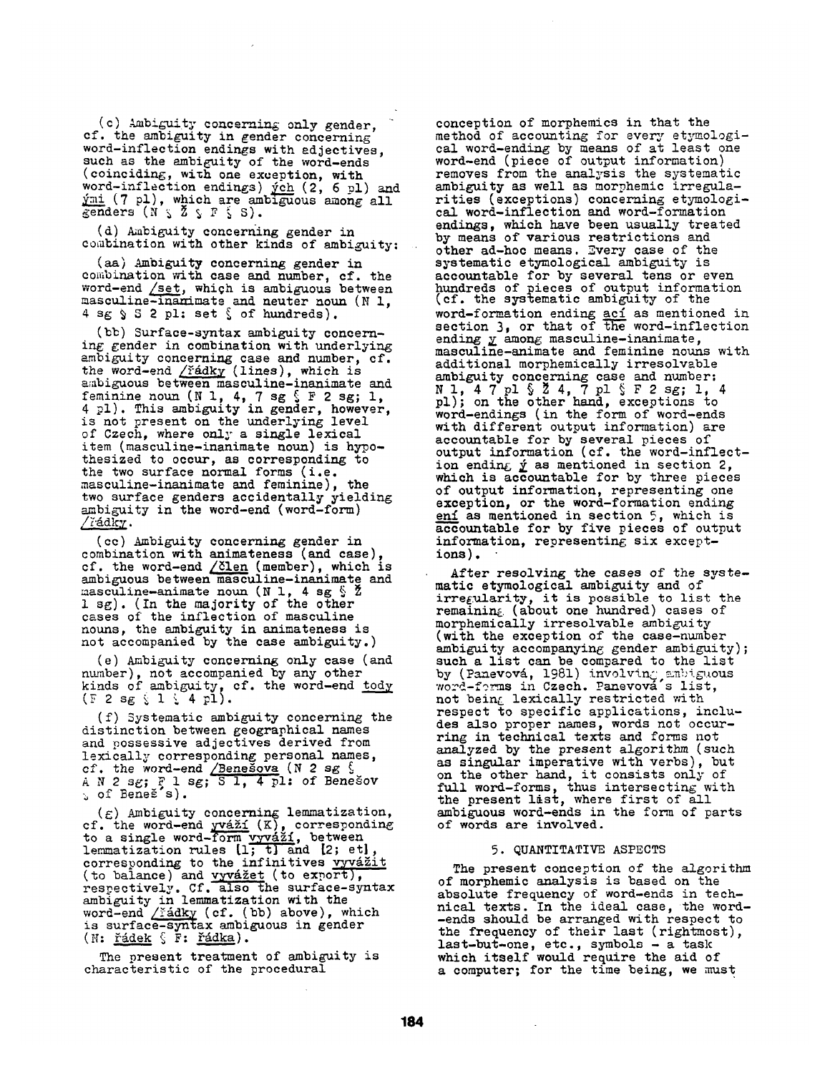(c) Ambiguity concerning only gender, cf. the ambiguity in gender concerning word-inflection endings with adjectives, such as the ambiguity of the word-ends (coinciding, with one exception, with word-inflection endings)  $\v{ych}$  (2, 6 pl) and  $\frac{\gamma_{\rm{ml}}}{\gamma_{\rm{gal}}}$  (7 pl), which are ambiguous among all<br>genders (N  $\zeta$   $\zeta$   $\zeta$   $\zeta$   $\zeta$   $\zeta$ ).

(d) Ambiguity concerning gender in combination with other kinds of ambiguity:

(aa) Ambiguity concerning gender in combination with case and number, cf. the word-end /set, which is ambiguous between masculine-inamimate and neuter noun (N l,  $4$  sg  $\$$   $\mathsf{S}$  2 pl: set  $\$$  of hundreds).

(bb) Surface-syntax ambiguity concerning gender in combination with underlying ambiguity concerning case and number, cf. the word-end <u>/řádky</u> (lines), which is ambiguous between masculine-inanimate and feminine noun (N l, 4, 7 sg  $\frac{1}{3}$  F 2 sg; 1, 4 pl). This ambiguity in gender, however, is not present on the underlying level of Czech, where only a single lexical item (masculine-inanimate noun) is hypothesized to occur, as corresponding to the two surface normal forms (i.e. masculine-inanimate and feminine), the two surface genders accidentally yielding ambiguity in the word-end (word-form)  $/$ řádk $\chi$ .

(cc) Ambiguity concerning gender in combination with animateness (and case), cf. the word-end  $/$   $\delta$ len (member), which is ambiguous between masculine-inanimate and masculine-animate noun (N 1, 4 sg  $\S$   $\check{z}$ 1 sg). (In the majority of the other cases of the inflection of masculine nouns, the ambiguity in animateness is not accompanied by the case ambiguity.)

(e) Ambiguity concerning only case (and ntunber), not accompanied by any other kinds of ambiguity, cf. the word-end <u>tody</u>  $(F 2 s g \; i \; 1 \; i \; 4 p1).$ 

(f) Systematic ambiguity concerning the distinction between geographical names and possessive adjectives derived from lexically corresponding personal names, cf. the word-end  $/$ Benesova (N 2 sg  $\sqrt{5}$ A N 2 sg; F 1 sg; S 1, 4 pl: of Benešov<br>、of Beneš's).

 $(\varepsilon)$  Ambiguity concerning lemmatization, cf. the word-end yváží (K), corresponding to a single word-form vyváží, between lemmatization rules [1; t] and L2; et], corresponding to the infinitives vyvážit (to balance) and  $\overline{vyv4}$   $\underline{z}$ et (to export), respectively. Cf. also the surface-syntax ambiguity in lemmatization with the word-end / řádky (cf. (bb) above), which is surface-syntax ambiguous in gender  $(N: ~\underline{\check{r}}\underline{\check{a}}\underline{\check{d}}ek ~\underline{\xi} ~ F: ~\underline{\check{r}}\underline{\check{a}}\underline{\check{d}}ka).$ 

The present treatment of ambiguity is characteristic of the procedural

conception of morphemics in that the method of accounting for every etymological word-ending by means of at least one word-end (piece of output information) removes from the analysis the systematic ambiguity as well as morphemic irregularities (exceptions) concerning etymological word-inflection and word-formation endings, which have been usually treated by means of various restrictions and other ad-hoc means. Every case of the systematic etymological ambiguity is accountable for by several tens or even hundreds of pieces of output information<br>(cf. the systematic ambiguity of the word-formation ending <u>ací</u> as mentioned in section 3, or that of the word-inflection ending  $y$  among masculine-inanimate,</u> masculine-animate and feminine nouns with additional morphemically irresolvable ambiguity concerning case and number: N 1, 4 7 pl § Z 4, 7 pl § F 2 sg; 1, 4 pl); on the other hand, exceptions to word-endings (in the form of word-ends with different output information) are accountable for by several pieces of output information (cf. the word-inflection ending  *as mentioned in section 2,* which is accountable for by three pieces of output information, representing one exception, or the word-formation ending eni as mentioned in section 5, which is accountable for by five pieces of output information, representing six exceptions).

After resolving the cases of the systematic etymological ambiguity and of  $irre{\texttt{\{}}ularity,$  it is possible to list the remaining (about one hundred) cases of morphemically irresolvable ambiguity (with the exception of the case-number ambiguity accompanying gender ambiguity); such a list can be compared to the list by (Panevová, 1981) involving.anbiguous. word-forms in Czech. Panevová s list, not being lexically restricted with respect to specific applications, includes also proper names, words not occurring in technical texts and forms not analyzed by the present algorithm (such as singular imperative with verbs), but on the other hand, it consists only of full word-forms, thus intersecting with the present list, where first of all ambiguous word-ends in the form of parts of words are involved.

### 5. QUANTITATIVE ASPECTS

The present conception of the algorithm of morphemic analysis is based on the absolute frequency of word-ends in technical texts. In the ideal case, the word- -ends should be arranged with respect to the frequency of their last (rightmost), last-but-one, etc., symbols - a task which itself would require the aid of a computer; for the time being, we must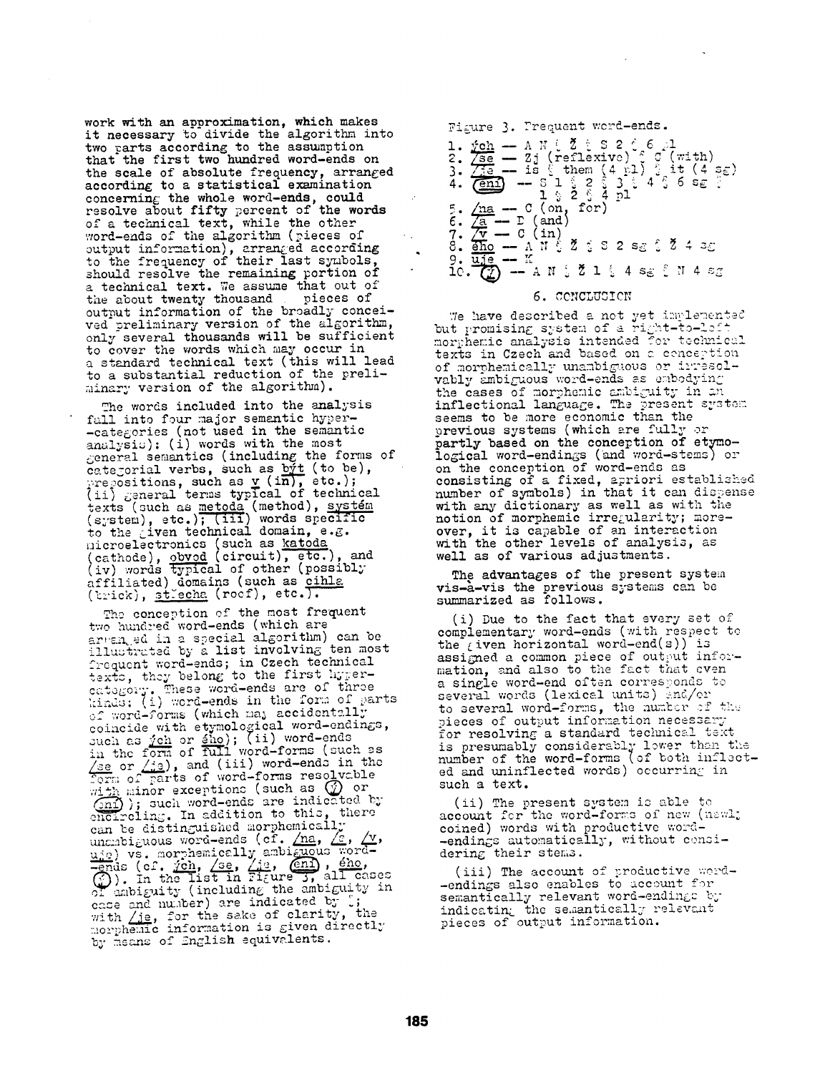work with an approximation, which makes it necessary to divide the algorithm into two parts according to the assumption that the first two hundred word-ends on the scale of absolute frequency, arranged according to a statistical examination concerning the whole word-ends, could resolve about fifty percent of the words of a technical text, while the other word-ends of the algorithm (pieces of output information), arranged according to the frequency of their last symbols, should resolve the remaining portion of a technical text. We assume that out of the about twenty thousand pieces of output information of the broadly conceived preliminary version of the algorithm, only several thousands will be sufficient to cover the words which may occur in a standard technical text (this will lead to a substantial reduction of the preliminary version of the algorithm).

The words included into the analysis fall into four major semantic hyper--categories (not used in the semantic analysiu): (i) words with the most general semantics (including the forms of categorial verbs, such as  $b\bar{y}t$  (to be),  $\gamma$ repositions, such as  $\underline{v}$  (in), etc.); (ii) general terms typical of technical texts (such as metoda (method),  $(s$   $\cdot$ stem),  $\circ$  tc.); (iii) words specific to the Liven technical domain, e.g. microelectronics (such as katoda) (cathode), obvod (circuit), etc.), and  $(iv)$  words typical of other (possibly affiliated) domains (such as cihla (trick), strecha (roef), etc.).

The conception of the most frequent two hundred word-ends (which are arvanged in a special algorithm) can be illustrated by a list involving ten most  $\epsilon_{\tt requent}$  word-ends; in Czech technical  $_{\rm{text}}$ , they belong to the first hypercategory. These word-ends are of three ,:in.u; (=~ ,.",,ord-end~ in the form of *LJarts*   $\circ$  word-forms (which may accidentally coincide with etymological word-endings, ~uch as ~ch or @he); (ii) word-ends in the fozn of full word-forms (such ss  $\gamma$ se or  $\gamma$ ie), and (iii) word-ends in the  $\overline{\text{form}}$  of  $\overline{\text{parts}}$  of word-forms resolvable with minor exceptions (such as  $\Psi$  or  $\widehat{C_{21}}$  ): such word-ends are indicated by  $\mathbf{in}$  . In addition to this, there can be distinguished morphemically .  $_{\rm unc}$ higuous word-ends (cf. <u>/na</u>, <u>/s</u>, <u>/v</u>, uje) vs. morphemically ambiguous word- $\frac{1}{2}$ ch, /se, /<u>18</u>, <u>(enl</u>), ene,  $(f)$ ). In the list in Figure 3, all cases  $\sigma$  ambiguity (including the ambiguity in case and number) are indicated by  $\cup$ ; with /je, for the sake of clarity, the morphemic information is given directly by means of English equivalents.

Figure 3. Prequent word-ends. 2. <u>/se</u> — Zj (reflexive) î <del>C (with)</del> 4. *(*eni) — 8182838485828  $5.$   $\sqrt{\text{na}} - \text{c}$  (on, for) **(and} • /v -- C (in)**  9. <u>uje</u> -- K  $\overrightarrow{10}$ ,  $\overrightarrow{C}$   $\overrightarrow{C}$   $-$  A N  $\frac{1}{2}$   $\overrightarrow{Z}$  1  $\frac{1}{2}$  4 sg  $\frac{3}{2}$  N 4 sg

# 6. CONCLUSION

We have described a not yet implemented but promising system of a right-to-loit morphemic analysis intended for technicul texts in Czech and based on a cenception of morphemically unambiguous or irresol- ${\tt vably}$  ambi ${\it{g} {\tt uous}}$  word-ends as embodyin ${\it{g}}$  . the cases of morphemic ambiguity in an inflectional language. The present system seems to be *more* economic than the previous systems (which are fully or partly based on the conception of etymological word-endings (and word-stems) or on the conception of word-ends as consisting of a fixed, apriori established number of symbols) in that it can dispense with any dictionary as well as with the notion of morphemic irregularity; moreover, it is capable of an interaction with the other levels of analysis, as well as of various adjustments.

The advantages of the present system vis-a-vis the previous systems can be summarized as follows.

(i) Due to the fact that every set of complementary word-ends (with respect to the  $\ell$  iven horizontal word-end(s)) is assigned a common piece of output information, and also to the fact that even a single word-end often corresponds to several words (lexical units) and/or to several word-forms, the number of the pieces of output information necessary for resolving a standard technical text is presumably considerably lower than the number of the word-forms [of both inflected and uninflected words) occurring in such a text.

(ii) The present system is able to account for the word-forms of new (newl; coined) words with productive word--endings automatically, without considering their stems.

(iii) The account of productive word--endings also enables to account for semantically relevant word-endings by indicating the semantically relevant pieces of output information.

 $\ddot{\phantom{a}}$